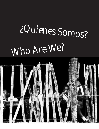## ¿Quienes Somos? Who Are We?

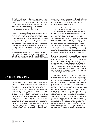El Movimiento Libertario Cubano, intenta articular e incrementar el activismo revolucionario antiautoritario en Cuba, de manera particular y en el continente americano en general, con el objetivo de construir un movimiento anarquista más efectivo que participe activamente en las luchas del movimiento real de l@s oprimid@s por el control de sus vidas y en la resistencia contracultural internacional.

No somos una organización anarquista más, mucho menos, un círculo cerrado de "elegidos" que pretenda acaparar o adjudicarse la representación del anarquismo cubano. Por el contrario, somos una red de colectivos e individu@s con secciones en diferentes ciudades del mundo, que intenta una coordinación más efectiva entre las distintas corrientes que hoy conforman el anarquismo cubano desde el anarco-sindicalismo, el anarquismo revolucionario, el anarco-comunismo, el cooperativismo, el comunalismo, el primitivismo, el ecoanarquismo hasta el insurreccionalismo libertario.

Si eres anarquista, antiautoritari@, antipatriarcal, anticlerical, rebelde, soñad@r e idealista, tú también puedes ser parte de esta red y participar activamente, de manera individual o colectiva, para el desarrollo de un movimiento anarquista real.



Los anarquistas cubanos han participado activamente en la lucha por la emancipación del proletariado desde los tiempos de la opresión colonial. La lucha desarrollada a mediados y finales del Siglo XIX, encabezada por el "grupo de los 3 Enriques": Enrique Roig de San Martín, Enrique Messonier y Enrique Creci; es el mejor ejemplo de ello. Este núcleo anarquista revolucionario dejaba en claro su posición de clase, contra la política y el Estado ya por el año de1888, en las páginas del periódico anarquista "El Productor" en una serie de textos titulados "Realidad y Utopía" (I a VI), que explican a grandes rasgos la concepción global de nuestros compañeros de entonces, la lucha contra la corriente, en un momento en que las soluciones democráticas, liberales, anexionistas, autonomistas, independentistas-nacionalistas (la "liberación nacional de Cuba") eran dominantes. Sin embargo, la falsificación histórica que se sigue haciendo en la isla de Cuba de la Historia del Movimiento Obrero a intentado dejar en el olvido la importancia del ideal ácrata en el desarrollo de las luchas contestatarias de los oprimidos.

Los anarquistas cubanos, también lucharon arduamente contra las dictaduras de Machado y de Batista. Contra este último, combatieron desde todos los frentes. Unos, desde las guerrillas orientales o las del Escambray, en el centro de la Isla; otros se unieron a la conspiración y la lucha urbana. También se establecieron puentes entre los sectores organizados revolucionariamente de la lucha contra Batista y la militancia antifranquista anarquista, a través de los compañeros Antonio Degas (miembro de la CNT, establecido en Cuba) y, Luis M. Linsuaín, hijo de otro destacado revolucionario anarquista, Domingo Germinal, muerto en Alicante en los albores de la revolución española. Los propósitos de los anarquistas eran los deseos mayoritarios del pueblo: liquidar la dictadura militar y la corrupción política, así como crear un campo más abierto en el disfrute de las libertades, que hiciera posible la continuidad ideológica.

En el folleto *Proyecciones libertarias* de 1956, donde se atacaba al dictador Batista, también se mencionaba a Castro, el cual no merecía "confianza alguna", [que] "no respetaba compromisos y sólo luchaba por el poder". Fue ésta la razón por la que se establecieron contactos clandestinos más frecuentes con otros grupos revolucionarios. Al triunfo de la insurrección, Castro se había convertido en el líder de todo el proceso, por una evaluación incorrecta de la oposición, que lo consideraba como un mal "controlable", necesario y temporal, con su modesto programa socialdemócrata.

En los primeros días del año 1959, las publicaciones libertarias, *Solidaridad Gastronómica* y *El Libertario* (publicación periódica), reflejan en sus primeras ediciones una actitud favorable, al mismo tiempo que cautelosa y esperanzadora con relación al gobierno "revolucionario". Sin embargo, el Consejo Nacional de la Asociación Libertaria Cubana, lanza un manifiesto donde "Expone, informa y hace juicios a la revolución cubana triunfante", y por el cual, después de explicar la posición de los anarquistas contra la pasada dictadura, procede a analizar el presente y futuro cercano, declarando que "los cambios institucionales", al abrirse una nueva etapa para Cuba, "no entusiasman ni ilusionan", aunque no se niega con cierta ironía, la "seguridad de que por algún tiempo al menos, gozaremos de las libertades públicas, bastante a garantizarnos posibilidades de propaganda" (sic). Sigue un ataque certero y cerrado contra el "centralismo estatal" camino, dicen, de llegar a un "ordenamiento autoritario". Se hacen eco de la penetración de la iglesia Católica y del Partido "Comunista". Finaliza el documento con una referencia al movimiento obrero, donde de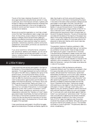The aim of the Cuban Libertarian Movement (CLM) is to encourage revolutionary antiauthoritarian activism in Cuba, in particular, and on the American continent, in general, with the goal of creating a more effective anarchist movement that can actively participate both in the current struggle of the workers for control over their lives and in the international countercultural resistance.

We are not an anarchist organization or, much less, a closed circle of the "elect" that pretends to lead or judge Cuban anarchism. On the contrary, we are a network of collectives with sections in different cities of the world that is seeking to establish more effective coordination among the distinct currents that make up Cuban anarchism today, from anarchosyndicalism, revolutionary anarchism, anarcho-communism, cooperativism, communalism, primitivism, eco-anarchism to libertarian insurrectionism.

If you are an anarchist or antiauthoritarian, antipatriarchal, anticlerical, rebellious and idealistic, you too can be part of this network and actively participate, in an individual or collective fashion, in the development of today's anarchist movement.

## A Little History

Cuban anarchists have actively participated in the fight for the liberation of the proletariat since the days of colonial oppression. The struggle developed during the middle and final years of the 19th century, headed by the "group of the three Enriques": Enrique Roig de San Martín, Enrique Messonier and Enrique Creci, who exemplified the movement. By 1888, this revolutionary anarchist nucleus publicized its class position against politics and the state in the pages of the anarchist periodical, *The Producer,* which published a series of texts entitled "Reality and Utopia" (I to VI). These articles explain in broad strokes the general conceptions of our comrades of that period, in a true struggle against the current, that is, within a movement in which democratic, liberal, annexationist, autonomist, and proindependence-nationalist (the "liberation of Cuba") ideologies predominated. Nevertheless, the historical falsification of the history of the workers movement that continues in Cuba to this day has obscured the importance of the anarchist/libertarian ideal in the development of the anti-state struggles of the oppressed.

Cuban anarchists also participated in the difficult struggles against the dictatorships of Machado and Batista. Against the latter, they fought on all fronts, some with the guerrillas in Oriente Province or with those in the Escambray Mountains in the center of the island; others joined the underground and participated in the struggle in the cities. They also built bridges between the organized sectors of the struggle against Batista in Cuba and the anarchist anti-Franco struggle in Spain via comrades Antonio Degas (member of the CNT living in Cuba) and Luis M. Linsuaín, the son of another outstanding anarchist revolutionary killed in Alicante, Spain, at the end of the Spanish Revolution. The aims of the anarchists coincided with the desires of the majority of the people: liquidation of the military dictatorship and an end to political corruption, as well as the creation of a more open arena for the enjoyment of democratic liberties, which would make ideological continuity possible.

The pamphlet, *Libertarian Projections*, published in 1956, which attacked Batista, also described Castro as "not meriting any confidence," and as one who "does not keep promises" and "fights only for power." It was with this in mind that Cuba anarchists put themselves in greater contact with other revolutionaries. By the time the insurrection had triumphed, Castro had made himself the leader of the entire process, largely as a result of an incorrect evaluation on the part of the opposition, which considered him a "controllable" evil—necessary but temporary—owing to the modest, social democratic nature of his program.

In the early days of 1959, the libertarian publications, *Foodworkers Solidarity* and *The Libertarian*, expressed in their first issues a favorable, and at the same time, cautious and hopeful, attitude toward the "revolutionary" government. Nevertheless, the National Council of the Cuban Libertarian Association (CLA) published a manifesto which "exposes, informs and judges the triumphant Cuban Revolution" and, after explaining the opposition of anarchists to the past dictatorship, proceeded to analyze the present and the near future. It declared that the recent "institutional changes," while opening up a new stage for Cuba, should arouse "no enthusiasm or illusions," although it didn't deny, with a degree of irony, the "certainty, at least for awhile, that we will enjoy sufficient liberties to enable us to carry out propaganda." It continued with a well-aimed attack against "state centralism" as a road toward an "authoritarian order." The document concludes with a reference to the workers movement, emphasizing again the efforts of the Cuban Communist Party (CCP) to "regain the hegemony over the workers movement they enjoyed under Batista," although ending with the opinion that this will probably not occur. The manifesto concludes on a note of optimism: "The panorama, taken as a whole, is breathtaking...."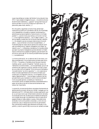nuevo hace énfasis en la labor del Partido Comunista de Cuba (PCC) "para recabar la hegemonía que [...] durante la otra era de dominación batistiana [...] gozaron" aunque terminan por opinar que esto no ocurrirá y finaliza con optimismo: "El panorama, pese a todo, alienta [...]".

Por otra parte y siguiendo la misma línea, *Solidaridad Gastronómica* publica el 15 de febrero del 59, otro Manifiesto a los trabajadores y al pueblo en general, donde explica y advierte que aunque al gobierno revolucionario no le fuese posible "[...] poner en tan poco tiempo, en función normal [...] a los organismos obreros [...] es un deber nuestro [...] el que se respete y se ejerciten las normas de libertad y derecho [...]. Es necesario que se convoquen elecciones en los sindicatos [...] que comiencen a funcionar las asambleas [...]". Finalmente deja en manos de los obreros de cualquier sindicato el problema de la "cesación obligada en sus cargos" en relación a sus "[...] diferentes orientadores. Es imprescindible que sean los propios trabajadores quienes decidan la inhabilitación sindical de sus pasados dirigentes, pues de hacerlo de otra forma, sería caer en los mismos procedimientos que ayer [...] combatiéramos".

La misma publicación, en su editorial del 15 de marzo, condena amargamente "los procedimientos dictatoriales (de la CTCR) [...] acuerdos y mandatos de arriba que imponen medidas, quitan y ponen dirigentes". También acusa a los "elementos incondicionales [...] en las asambleas, que sin ser miembros del organismo sindical, levantan el brazo a favor de una orden de los dirigentes". Entre otras anormalidades y "procedimientos" se cita lo siguiente: "[...] en ocasiones se llenan las salas asamblearias de milicianos armados que constituyen una flagrante coacción, no se respetan los preceptos reglamentarios [...] que se llega a cualquier tipo de procedimiento para mantener el control de los sindicatos". Como se puede apreciar, la batalla por liberalizar al movimiento obrero se estaba perdiendo lamentablemente a pesar de las denuncias de los anarcosindicalistas en ese campo tan importante.

La oposición al anarcosindicalismo emanaba directamente de sectores del Movimiento 26 de Julio (M26J), instigado por los elementos del PCC infiltrados dentro de esa organización que en un principio tomó casi militarmente la dirección de todos los sindicatos de la Isla. Se decía que la medida era temporal, con el objeto de purgar a los elementos más corruptos de la pasada dictadura, hasta celebrar nuevas y libres elecciones sindicales. Como se ha podido comprobar, y como era costumbre en Cuba, lo temporal se convirtió en permanente. Pero ¿de dónde procedían estos elementos sindicales, si era público y notorio que el M26J nunca tuvo en verdad una base

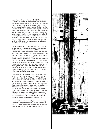Along the same lines, on February 15, 1959, *Foodworkers Solidarity* published another manifesto to the workers and the people in general, warning that although the revolutionary government might not, in such a short time, "set up functioning workers institutions, it is our right to have the norms of freedom and democratic rights respected and exercised.... Elections in the trade unions must be organized, the (workers) assemblies must begin to function..." Finally, it left to the workers of each union the question of how to handle removing the old bureaucrats from office. "It is crucial that the workers themselves decide on removing and disbarring their past union leaders, since to do this in any other way would be to fall into the same authoritarian practices we fought against yesterday."

The same publication, in its editorial of March 15, bitterly condemned the "dictatorial procedures (of the Congress of the Workers of Revolutionary Cuba—CWRC)...deals and orders from above that impose measures, fire and install leaders." It also accused "elements...in the assemblies which, without being members of the unions themselves, vote en bloc in favor of particular groups of leaders." Among the other abnormalities and "procedures" it denounced were the following: "...periodically packing the assembly rooms with armed militiamen in flagrant attempts to coerce the workers; the lack of respect for normal rules of procedure; and stooping to the lowest types of maneuver to maintain control over the unions." As we know, the struggle to liberalize the workers movement was, unfortunately, lost despite the crucial efforts of the anarchosynicalists in that arena.

The opposition to anarchosyndicalism came directly from sectors of the July 26 Movement (J26M), instigated by elements of the Cuban Communist Party who had infiltrated that organization, which, in turn, had taken over the leadership of the unions of the entire island in virtual military fashion. This takeover was said to be temporary, with the objective of purging the most corrupt elements inherited from the Batista dictatorship until new and free elections could be held. As could have been predicted and was customary in Cuba, the temporary turned into the permanent. But where did these union elements come from, since it was a known (and notorious) fact that the July 26 Movement never had a base in the unions or even a general sympathy among the workers, let alone an active working class leadership?

The new trade union leaders mostly came from two antagonistic camps: the syndicalists of the Workers Commissions, who had oriented to electoral politics and had been enemies of the old government, and members of the Cuban

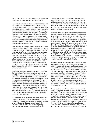sindical, o mejor aun, una simpatía generalizada entre los trabajadores, o siquiera una activa dirección proletaria?

Los dirigentes sindicales procedían en su mayoría de dos campos antagónicos: el sindicalismo de las Comisiones Obreras, que respondían a la política electoral y habían sido enemigos del gobierno anterior y los del PCC. Los primeros, respondían a un oportunismo cínico y se prestaban a cualquier manipulación estatal. Los segundos, eran en extremo peligrosos, y a pesar de lo borrascoso de su pasado, se notaba ya un apoyo oficial que provenía de lo más alto del gobierno. Ambos sectores se odiaban mutuamente y se prepararon para una lucha abierta por la hegemonía del sector proletario, pero como se verá más adelante, terminaron en una amalgama desastrosa para el movimiento obrero cubano.

En el mes de julio, el Estado cubano estaba ya en sus totalidad en las manos de Castro, así como de sus más cercanos colaboradores. La presencia de elementos del PCC era ya notable en altas figuras del gobierno. Los anarquistas que habían notado la contingencia, se alarmaron en grado sumo; entendían correctamente que la influencia del PCC dentro de las esferas gubernamentales y sindicales significaba un golpe mortal a corto o largo plazo. Sus pesadillas más siniestras pronto se harían realidad. Por su parte, Castro declaró públicamente no tener ninguna relación con el PCC, pero reconoció la existencia de "comunistas" dentro de su gobierno, lo mismo que otros personajes de filiación anticomunista.

Para finales de año se convoca el X Congreso Nacional de la Confederación de Trabajadores de Cuba Revolucionaria (CTCR) donde una mayoría acepta la tesis de "Humanismo", una especie de filosofía que se había creado a principios de año, que decía alejarse de los campos tradicionales del comunismo-capitalismo establecidos por la Guerra Fría y que, predicaba las consignas de "Pan con libertad" y "Libertad sin terror". Los cubanos, siempre creativos, habían inventado un nuevo sistema sociopolítico para darle algún tipo de explicación ideológica al nuevo régimen. David Salvador, el máximo dirigente de la facción del M26J, ejercía y fungía como su más denodado adalid. A su vez el PCC, bien representado en dicho Congreso, aunque en evidente minoría, planteaba la añeja consigna de "Unidad".

El 23 de noviembre el Congreso se halla totalmente dividido para tomar acuerdos o elegir una representación. Los anarquistas de la Asociación Libertaria Cubana ya habían publicado en Solidaridad, el 15 de ese mes, un "llamado al X Congreso", donde se insistía en que "Los congresos que veníamos padeciendo desde mucho, tenían como única

cuestión de importancia, la distribución de los cargos del aparato". Y finalizaba con una nota optimista: "[...] pero sí quisiéramos que [...] marcara un paso de avance en el sindicalismo revolucionario". Y añadía esperanzado: "Que se adentrara profundamente, en las grandes cuestiones del proletariado [...] por encima de personalismos y sectarismos de grupo o partidos [...]". Nada de esto aconteció.

Ante la realidad visible de una parálisis proletaria creada por la evidente división camino del poder, Castro en persona se dirige al Congreso, donde explica la necesidad de "defender la revolución", para lo cual se necesitan "dirigentes verdaderamente revolucionarios", con un liderazgo que sea apoyado por todos los delegados del Congreso y propone a David Salvador para el cargo. La única facción que debe prevalecer es "el partido de la patria", según declara Castro. Y efectivamente, como en los buenos tiempos de la República, que tanto se quiere desechar y olvidar, el gobernante de turno propone al Secretario General de la CTCR como un apéndice o un simple Ministerio del gobierno. El Comité Ejecutivo está compuesto de delegados del M26J y del PCC. El día 25 se da por terminado el Congreso y el líder "comunista" Lázaro Peña asume el control de la dirección del organismo obrero, aunque la representación nominal la ostente David Salvador.

Era lógico pensar que los representantes sindicales del M26J, que se habían opuesto al control del Congreso y de la CTCR por el PCC, después de escuchar las orientaciones de su "máximo líder", Fidel Castro, con respecto a la dirección obrera, aceptaran sin replicar la imposición del gobierno, por la sencilla razón, de que las órdenes que emanaban de arriba indicaban que o se cumplían o se iba a parar a la cárcel. "¡Patria o muerte, venceremos!" Terminaba en este Congreso, denominado "el de los melones (verde olivo por fuera—el color del M26J—y rojo por dentro—el del PCC), cerrando casi un siglo de luchas sindicales y por las cuales los obreros habían obtenido algunas ventajas sobre el abuso patronal. Ahora todo esto cambiaba. El Estado se convertiría en pocos meses en el verdadero y único patrón.

Poco conocida fue la visita que realizó el anarquista alemán Agustín Souchy a La Habana en el verano de 1960, y menos aún la publicación de un folleto titulado "Testimonios sobre la Revolución Cubana", que narraba sus opiniones sobre el campesinado y la nueva ley de Reforma Agraria con la que el gobierno castrista pretendía asombrar a medio mundo, empezando por los cubanos. La figura de Souchy era de sobra conocida en los medios libertarios cubanos, desde el año anterior, y conociendo que dicho compañero pensaba viajar a Cuba, *Solidaridad* había publicado un largo ensayo en varias de sus ediciones, titulado "El socialismo libertario", como una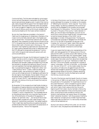Communist Party. The first were motivated by cynical opportunism and lent themselves to manipulation by the state. The second were extremely dangerous and, in spite of their stormy past, clearly enjoyed official support from the highest levels of the government. Both sectors hated each other and prepared for an overt struggle for hegemony over the proletarian sector, but, as we will discuss, wound up forming an amalgam that would prove disastrous for the Cuban workers movement.

By July, the Cuban State was completely in the hands of Castro and his closest group of collaborators. Members of the Cuban Communist Party were still seen in the highest positions of government. The anarchists noted this with considerable alarm; they understood correctly that the influence of the CCP in the government and the trade unions meant a mortal blow to them, both in the short and in the long run. The anarchists' most frightening nightmares soon became the reality. Castro publicly declared that he had no relationship with the CCP, although he recognized the existence of "communists" within his government along with persons with anticommunist affiliations.

Towards the end of the year, the Xth National Congress of the CWRC was held, at which a majority of those present voted to accept the thesis of "Humanism." This was a new species of philosophy that had been created at the beginning of the year and was said to rise above the traditional camps of communism and capitalism that had been established by the Cold War. It proclaimed the slogans of "Bread with Liberty" and "Liberty Without Terror." Cubans, creative as always, had invented a totally new socioeconomic system in order to come up with at least some sort of ideological justification for the new regime. David Salvador, the top leader of the July 26 Movement faction, presented himself as its most intrepid chief. For its part, the PCC, well represented at this congress although in an obvious minority, put forward the musty slogan of "Unity."

By November 23, the congress found itself totally divided on the questions of passing resolutions and electing leaders. The anarchists in the Cuban Libertarian Association published in *Solidarity*, on the 15th of that month, a "Call to the Xth Congress," in which it declared that "The congresses that we so long endured had as their only important issue the question of the distribution of the posts of the apparatus." It ended on an optimistic note: " ...but we would like to hope that the present congress will mark a step forward in the advance of revolutionary syndicalism," and added hopefully "that it might help raise the profound questions facing the proletariat above the level of personalism and sectarianism of cliques and parties..." None of this happened.

In the face of the division over the road forward, Castro personally addressed the congress. He insisted on the necessity of "defending the revolution," which required "truly revolutionary leaders," by electing a leadership that could be supported by all the delegates to the congress, and proposed David Salvador for that position. The only faction that ought to prevail is "the party of the country," Castro declared. In effect, as in the old days of the Republic (as much as one would like to renounce and forget the fact), the government turned the General Secretary of the CWRC into an appendage or minister of the government. The Executive Committee was composed of delegates from the M26J and the CCP. On the 25th of November, the last day of the Congress, the "communist" leader, Lázaro Peña, assumed control of the leadership of the workers organization, although David Salvador remained its nominal head.

It was only logical that the trade union representatives of the J26M, who had opposed the CCP taking control of the congress and the CWRC as a whole, would, after listening to the explanations of the Fidel Castro, the "supreme leader," accept the government's directive without objection. This was for the simple reason that orders came from above that indicated that one either agree to it or go to jail. "Fatherland or Death, We Will Win!" And so the congress, nicknamed the "congress of melons" (olive green—the color of the M26J—on the outside; red—the color of the CCP—on the inside), ended, thus closing a century of trade union struggles through which the workers had managed to achieve some gains in the struggle against employer abuse. At this point, however, everything changed. In a few short months, the State had turned itself into the true, one and only, boss.

The visit of the German anarchist Agustín Souchy to Havana in the summer of 1960 is not well known. Even less known is the publication of his pamphlet, "An Eyewitness Account of the Cuban Revolution," which conveyed his opinion about the Cuban peasantry and the new Agrarian Reform Law, with which Castro tried to astound and fool the world, beginning with the Cubans. Souchy had been a famous figure in the Cuban libertarian milieu since the previous year, when, knowing that he was considering visiting Cuba, *Solidarity* had published, over several issues, his long essay, titled "Libertarian Socialism," with the purpose of clarifying basic libertarian concepts and as a hidden hope that these ideas might take concrete form in a new society whose basic outline he had sketched out.

Souchy's visit came at a difficult time, when, as in all revolutions (and in war), the people bounced between fear, uncer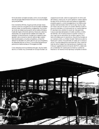forma de aclarar conceptos sociales y como una oculta esperanza de que esas ideas tomaran forma en una nueva sociedad que ya se perfilaba.

Eran momentos difíciles, al igual que todo proceso revolucionario (como en una guerra) en el que el pueblo se debatía entre el miedo, la incertidumbre y la esperanza. Ya al comenzar el año se notaba la provocación de los medios oficiales a través del órgano oficial del castrismo, *Revolución*, sobre los anarquistas, con acusaciones tan veladas como falsas. Sin embargo, la visita de Souchy, invitado por el gobierno para estudiar y dar a conocer su opinión sobre el agro cubano, llenó de entusiasmo a muchos compañeros, y el escritor alemán fue saludado con júbilo genuino por sus compañeros, en diferentes actos en su honor y una cordial bienvenida por parte de los medios ácratas, el 15 de agosto de 1960.

Como estudioso de los problemas del agro, Souchy había escrito un folleto muy comentado en Europa titulado *Las* *cooperativas de Israel,* sobre la organización en dicho país del Kibbutz, motivo por el cual el gobierno cubano esperaba algo similar de Souchy para que avalara su gigantesco programa agrario y como propaganda en los medios anarquistas internacionales. Este no fue el caso. Souchy viajó por toda Cuba con los ojos y el corazón abiertos a todo lo que se le mostraba y a lo que pudo por su cuenta observar. El resultado de su análisis no pudo ser más pesimista. Cuba se acercaba demasiado al modelo soviético; la falta de libertad y de iniciativa propia no podían conducir a otro lugar que al centralismo en el sector agrario. Otro tanto se notaba ya en lo económico. Souchy fue honesto en su inventario total y su folleto titulado *Testimonios sobre la Revolución Cubana*, fue publicado sin pasar por la censura oficial. Tres días después de marcharse de Cuba, la edición total de dicho trabajo fue intervenida por el gobierno castrista por sugerencias de la Dirección del PCC y destruida en su totalidad. Por suerte para la Historia, la editorial *Reconstruir* en Buenos Aires reprodujo completa la versión

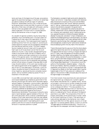tainty and hope. At the beginning of the year, provocations against the anarchists had begun, in the form of veiled false accusations made by the official organ of Castroism, *Revolution*. Nevertheless, Souchy's visit, invited as he was by the government to study and offer his opinion of Cuban agriculture, filled many comrades with enthusiasm, and the German writer was greeted with jubilation in various events organized in his honor and in a cordial welcome held by the libertarian milieu on August 15, 1960.

As a student of agrarian problems, Souchy had written a pamphlet, much commented upon in Europe, titled *The Cooperatives of Israel*, about the organization of the kibbutzes in that country. The Cuban government hoped for something similar from him as a means of promoting its massive agrarian program and as propaganda intended for the international anarchist milieu. This didn't happen. Souchy traveled all around Cuban with his eyes and his heart open to all he was shown and all that he could observe on his own. Cuba, he said, was approaching too closely to the Soviet model; the lack of freedom and of personal initiative could lead nowhere but to the centralization of the agrarian sector. He noted the same process in the entire economy. Souchy was comparably honest throughout his account and his pamphlet was published without official censure. However, three days after he left Cuba, the entire edition of this work was rounded up by the Castroist government at the suggestion of the leadership of the CCP and destroyed in its entirety. Luckily for history, the editorial board of *Reconstruction* in Buenos Aires, Argentina, reproduced Souchy's complete original version, with an excellent preface by Jacobo Prince, in December of the same year.

In June 1960, convinced that Castro was leaning more and more toward establishing a totalitarian government of the Marxist-Leninist type, the road to which was slowly asphyxiatng all freedom of expression, communication, association and mobilization, the majority of the sections of the Cuban Libertarian Association decided to put out a Declaration of Principles, presented as representing the Libertarian Syndicalist Grouping and signed by the Group of Revolutionary Syndicalists. The purpose of using this name was to "avoid repression against members of the CLA." The aim of this document, which is vital for understanding the situation of the Cuban anarchists at that time, was, besides orienting the Cuban people, to warn the government about the disaster toward which it was heading and to open polemics with the CCP, some of whose figures were still to be found in important positions in power.

The Declaration consisted of eight points which attacked the "State in all its forms": it described, consistent with libertarian ideas, the economic functions of the unions and the federations, declared that the "land" should "belong to those who work it," held up "collective and cooperative work" as an alternative to the centralism proposed in the government's Agrarian Reform, emphasized free collective education for children, likewise with culture, polemicized against nationalism, militarism and imperialism, which it denounced as noxious, opposed the plans to militarize the people, fearlessly attacked "bureaucratic centralism" in favor of federalism, proposed the immediate granting of individual liberty "as a way to achieve collective liberty" and, finally, declared that the Cuban Revolution was like the sea, that is, belonged to everybody, while energetically condemning the "authoritarian tendencies that are developing within the very heart of the revolution."

There's little doubt that this was one of the first direct attacks against the regime that came from an ideological standpoint. The response was not long in coming. In August, the organ of the CCP, *Today*, under the signature of the party's General Secretary, Blas Roca, the highest ranking leader of the "communist" cadres, replied to the anarchist declaration in violent terms, using the same false charges as those of 1934, and adding the dangerous accusation that the authors were "agents of the Yankee State Department." In the words of one of the authors of the Declaration, Abelardo Iglesias, "...finally, the former pal of Batista...Blas Roca, answered us in the Sunday supplement, piling insults on injuries." It was significant that in response to an attack on the Castro government it was the highest leader of the CCP who came out in defense of the regime. In the summer of 1960, all doubts about the nature of the regime began to be dispelled.

From that moment, those anarchists who were enemies of the regime had to go underground. A polemic against Roca's attack was planned, but, in Iglesias' words, "we did not succeed in convincing our printers, already terrorized by the dictatorship, to print it. Nor was it possible to put out an underground edition." This was a question of a pamphlet of 50 pages replying to the CCP and Roca. One month before, the *Libertarian* had dedicated its July 19 edition to celebrating the "Heroic attitude of the Spanish anarchists in July 1936." The components of the CNT in Havana, enthusiastic at the revolutionary triumph, called for the violent overthrow of Franco. That same issue, virtually entirely dedicated to the libertarian role in Spain during and after the Civil War, gave an account, on its last page and in an almost pathetic fashion, of the CLA and the "struggle against the Batista dictatorship." The print run was large and the newspaper reminded the government of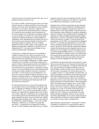original de Souchy en diciembre de ese mismo año, con un excelente prólogo de Jacobo Prince.

En el verano de 1960, convencidos de que Castro se inclinaba cada día más hacia un gobierno totalitario de corte marxistaleninista, camino del cual se asfixiaba poco a poco la libertad de expresión, comunicación, asociación y hasta de movilización, la mayoría de los componentes de la ALC acordaron, con el eufemismo de otras siglas, lanzar la Declaración de Principios, avalada como la Agrupación Sindicalista Libertaria en junio de ese año y firmada por el Grupo de Sindicalistas Libertarios. La idea de usar este otro nombre se debió a la necesidad de "evitar represalias sobre los miembros de la ALC". El documento, que es vital para entender la situación de los anarquistas cubanos en esa época, tenía como objetivo, además de orientar al pueblo cubano, acusar al gobierno del desastre que se avecinaba y establecer una polémica con los integrantes del PCC, los cuales ya se encontraban en posiciones importantes dentro del gobierno.

La Declaración constaba de 8 puntos en los que atacaba al "Estado en todas sus formas": definía, de acuerdo con las ideas, la función de sindicatos y federaciones en su verdadera actividad económica; declaraba que "la tierra" debía pertenecer "al que la trabaja", respaldando "el trabajo colectivo y cooperativo" en contraste con el centralismo agrario propuesto en la Reforma Agraria gubernamental; hacía énfasis en la educación colectiva y libre de la niñez, lo mismo que la cultura; luchaba contra el nacionalismo, el militarismo y el imperialismo, a los que consideraba nocivos, oponiéndose de plano a militarizar al pueblo; atacaba sin temores el "centralismo burocrático" y rompía lanzas en pro del "federalismo"; proponía como recurso inmediato la libertad individual "en vías de lograr una libertad colectiva"; y finalmente declaraba que la revolución cubana era como el mar, "de todos", y condenaba enérgicamente "las tendencias autoritarias que bullen en el seno mismo de la revolución".

No cabía duda de que era uno de los primeros ataques directos que desde el punto de vista ideológico se le hacían al régimen. La respuesta, sin embargo, no tardó en llegar. En agosto, el órgano del PCC, *Hoy*, con la firma del Secretario General, Blas Roca, el dirigente de más categoría dentro de los cuadros "comunistas", respondió a la declaración de los anarquistas de forma violenta usando las mismas falacias que en 1934, y agregando la peligrosa acusación de que sus autores eran "agentes del Departamento de Estado Yanki". Según uno de los autores de la Declaración, Abelardo Iglesias "[...] por fin el ex amigo de Batista [...] Blas Roca, nos contestó en el suplemento dominical [...] colmándonos en su respuesta de insultos e injurias". Era más interesante y significativo que en un ataque

al gobierno de Castro, fuera el dirigente de más alto nivel del PCC el que saliera a responder por el régimen. En aquel verano de 1960 pronto se empezaron a aclarar las dudas.

Desde ese mismo instante, los anarquistas que eran enemigos del régimen tuvieron que sumergirse en la clandestinidad. Se hace un intento por establecer una polémica en relación a la respuesta de Roca, "pero" según Iglesias "no logramos que nuestros impresores, ya aterrorizados por la dictadura, accediesen a imprimirla. Tampoco nos fue posible la edición clandestina". Se trataba de un folleto de 50 páginas donde se le daba la debida réplica al PCC y a Roca. Un mes antes *El Libertario* dedicaba su número del 19 de julio, a celebrar "La heroica actitud de los anarquistas en julio de 1936". Los componentes de la delegación de la CNT en La Habana, entusiasmados por el triunfo revolucionario, se habían propuesto derrocar a Franco de forma violenta. En ese mismo número, dedicado enteramente a defender la actitud libertaria antes, durante y después de la Guerra Civil española, en su última página y casi de forma patética, se hace un recuento de las actividades de la ALC y "la lucha contra la dictadura de Batista". El inventario es largo y le recuerda al gobierno el aporte de los anarquistas cubanos a favor de la revolución y la libertad. Se recurría ya a los últimos cartuchos ideológicos. *El Libertario* desaparecía en ese mismo verano.

Los elementos más aguerridos dentro del anarquismo cubano tienen pocas opciones a su favor. Después de la Declaración ya saben que van a ser acosados por los ciegos servidores del régimen, que convertidos en verdaderos sicofantes, se dan a la tarea de delatar a cualquier cubano que no esté de acuerdo con el proceso. Una acusación de "contrarrevolucionario" es un pasaje a la cárcel o un viaje al paredón de fusilamiento. Las razones que adujeron los libertarios entonces para oponerse al terrorismo de Estado de forma violenta, son tan válidas hoy como ayer. El anarcosindicalismo dentro de los sindicatos y federaciones, como ya se ha visto, pasó a mejor vida. No había espacio para ejercer la libertad de prensa ni hacer propaganda a favor de las ideas. Atacar al régimen era un crimen de *lesa patria*. La política económica del régimen conducía a la sovietización de Cuba con todas sus consecuencias negativas. Se perseguía con un rigor no conocido a todo aquél que propusiera otras ideas que no fueran las que emanaban del Estado, domicilio y residencia, a donde habían ido a parar todas las grandes propiedades, comercios, fincas, centrales azucareras, vegas de tabaco, en fin, toda la riqueza del país, en manos hasta esos momentos de la alta burguesía, el capitalismo nacional y la banca cubano-norteamericana.

Estas medidas de "nacionalización" o expropiación no fueron criticadas por los libertarios. A lo que se oponían, según la mencionada Declaración, era a la estatalización de todas las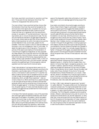the Cuban anarchists' commitment to revolution and freedom. Those were the last ideological shots fired. The *Libertarian* disappeared that same summer.

The most militant Cuban anarchists had few choices. After the Declaration they knew they would be harassed by the blind servants of the regime who, converted into true sycophants, assigned themselves the task of denouncing any Cuban who was not in agreement with the revolutionary process. An accusation of "counterrevolutionary" was a oneway ticket to jail or a trip to the executioner's wall. The reasons the libertarians decided to struggle against State terrorism through violence were as valid then as they had been before. Anarchosyndical-ism within the trade unions and the workers federations had, as we've seen, passed into the Hereafter. There was no space in which to exercise freedom of the press or carry out propaganda in favor of one's ideas. To attack the regime was a crime of *lese patria*. The economic policies of the regime were leading to the Sovietization of Cuba with all its negative consequences. All who proposed any ideas different from those that came from the State were persecuted with a ferocity hitherto unknown, while the State had come to take over all the homes, large properties, businesses, ranches, sugar plantations, tobacco fields, in short, all the richest of the country that, until that moment, had been owned by the wealthiest layer of the bourgeoisie, national capitalism and the Cuban-North American banks.

These "nationalizations" and expropriations were not criticized by the libertarians. What they opposed, according to the Declaration, was the state-ization of the entire wealth of the country in the hands of Castro and the CCP. It was then necessary to take to the hard road of clandestine activity or exile in order to begin the struggle against the new and powerful dictatorship, which, as Casto Moscú explained, "...had convinced us that all our efforts and those of our people had been in vain and that we had arrived at a situation that was both extremely difficult and far worse than any of the evils we had hitherto struggled against." In the face of the totalitarian situation, the great majority of Cuban anarchists decided to revolt, initiating a struggle that was condemned from the first day to end up as a total fiasco.

In the face of the Castroite repression, many of the anarchists who had fought against the Batista dictatorship with the different guerrilla struggles in the western, central and eastern parts of the country, saw no other road than to resort once again to arms. As Moscú said, "an infinite number of manifestos, denouncing the false postulates of the Castroite revolution and calling the people into opposition, were written. Meetings were held to debate themes and to make people

aware of the disgraceful reality that confronted us," and "plans were made to carry out sabotage against the key props of the State..."

Now totally committed to the armed struggle, according to Moscú, these militants "began to participate in cooperative efforts to support guerrilla struggles that already existed in various parts of the country." This involved in particular two important guerrilla groups in the same area that were operating with great difficulty owing to the fact that the Sierra Occidental is not very high, while the province in which the struggle occurred is narrow and very close to Havana. "More direct contact existed with the guerrillas led by Captain Pedro Sánchez in San Cristóbal, since our comrades were actively involved in the guerrilla struggle there, including supplying it with weapons. We also did all we could to help the guerrillas commanded by Francisco Robaina (Machete) who operated in the same mountain range." Our comrade, Augusto Sánchez, a fighter in these guerrilla struggles, was assassinated after being taken prisoner. Since the guerrillas were considered to be bandits by the government, the lives of those captured were rarely spared.

Besides Augusto Sánchez, the following "combatant comrades" were killed: Rolando Tamargo and Ventura Suárez, shot; Sebastián Aguilar, Jr., killed by rifle fire; Eusebio Otero, murdered in his home; Raúl Negrín, harassed by persecution, shot himself. In addition, aside from Moscú, the following comrades were arrested and sentenced to prison terms: Modesto Piñeiro, Floreal Barrera, Suria Linsuaín, Manuel González, José Aceña, Isidro Moscú, Norberto Torres, Sicinio Torres, José Mandado Marcos, Plácido Méndez and Luis Linsuaín, these last two, officers in the Rebel Army. Francisco Aguirre died in prison; Victoriano Hernández, sick and blinded by the tortures of imprisonment, committed suicide; and José Alvarez Micheltorena, died a few weeks after getting out of jail.

On May 1, 1961, Castro declared his government "socialist," (in reality, Stalinist). This posed a dilemma for the libertarians inside and outside Cuba. The regime demanded total commitment from its militants and sympathizers. There was no right to abstain or to take a neutral position. That had gone the way of the dodo. The Third Republic, presided over by a budding dictator, offered no alternative but to be under its control or to choose one of three options: jail, the wall (execution), or exile. After their initial encounters with the most Stalinist sectors of the CCP, the sections of the Association of Cuban Libertarians understood that the regime, well on the road to totalitarianism, was not going to allow an anarchist organization to exist or even the articulation of anarchist ideas.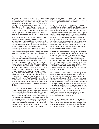riquezas de Cuba en manos de Castro y el PCC. Había entonces que tomar el duro camino de la clandestinidad o el exilio para empezar a luchar de nuevo contra una nueva y poderosa dictadura, que como explicara Casto Moscú "[...] nos convencimos de que todos los esfuerzos de nuestro pueblo y los nuestros se habían perdido y que nos llegaba un proceso muy difícil y peor que todos los males que habíamos combatido". Ante una situación de corte totalitario, la gran mayoría de los anarquistas cubanos acordaron rebelarse e iniciar una lucha que estaba condenada desde el primer día a ser un fracaso rotundo.

Muchos de los anarquistas que habían luchado contra la dictadura de Batista, desde las diferentes guerrillas en el Occidente, Centro y Oriente, del país, no vieron otro camino , ante la represión castrista, que regresar a las armas. Según relata Moscú, "se editaron infinidad de manifiestos denunciando la falsedad de los postulados de la revolución castrista y convocando al pueblo a la oposición. Se celebraban reuniones para debatir temas y hacer conciencia de la desgraciada realidad que se confrontaba", y se "llevaron a efecto planes de sabotaje sobre objetivos básicos de sostenimiento del Estado [...]"

Metidos ya de lleno en la lucha armada, según Moscú, "se participó en la cooperación para sostener algunos focos guerrilleros existentes en diferentes partes del territorio [...]". En particular, en dos guerrillas importantes en la misma zona, donde se operaba con gran dificultad debido a que la Sierra Occidental no era muy alta, la provincia estrecha y estaba muy cerca de La Habana. "Existió un contacto más directo con la guerrilla del Capitán Pedro Sánchez en San Cristóbal, pues compañeros nuestros participaron activamente en esta guerrilla [...] se les suministró algunas armas. [...] Con la guerrilla que comandaba Francisco Robaina (Machete) que operaba en la misma Cordillera, les fuimos solidarios en todo lo que nos fue posible [...]". El compañero Augusto Sánchez, combatiente en estas guerrillas, fue asesinado después de haber sido hecho prisionero. Considerados como bandidos por el gobierno, en muy pocos casos se les respetaba la vida a cualquiera que se rindiera.

Además de ser ultimado Augusto Sánchez, fueron asesinados los siguientes "compañeros combatientes: Rolando Tamargo y Ventura Suárez, fusilados; Sebastián Aguilar hijo, asesinado a balazos; Eusebio Otero apareció muerto en su habitación; Raúl Negrín, acosado por la persecución, se suicidó dándose fuego". Por otra parte, además de Moscú, fueron detenidos y condenados a penas de prisión los siguientes compañeros: Modesto Piñeiro, Floreal Barrera, Suria Linsuaín, Manuel González, José Aceña, Isidro Moscú, Norberto Torres, Sicinio Torres, José Mandado Marcos, Plácido Méndez y Luis Linsuaín, oficiales estos dos últimos del Ejército Rebelde. Francisco Aguirre

murió en prisión; Victoriano Hernández, enfermo y ciego por las torturas carcelarias, se suicidó; y José Alvarez Micheltorena, murió a las pocas semanas de salir de prisión.

El Primero de Mayo de 1961, Castro declaró a su gobierno, "socialista", en realidad de corte estalinista, planteándoles a los libertarios, fuera y dentro de Cuba un dilema de corte ético. El régimen exigía la adhesión más decidida de sus simpatizantes y militantes. No existía el derecho a la abstención o a cualquier posición neutral. Se dormía con los criminales o te mataba el insomnio. La Tercera República presidida por un dictador en ciernes no ofrecía otras alternativas que agruparse bajo su control o escoger entre tres opciones: la cárcel, el paredón o el exilio. Pasados los primeros encuentros y confrontaciones con los sectores más estalinistas del PCC, se entendía entre los componentes de la ALC que el régimen, camino hacia el totalitarismo, no iba a permitir la existencia de una organización anarquista o siquiera la prédica de las ideas.

El movimiento anarquista cubano perseguido por las nuevas corporaciones represivas de la dictadura de Castro se ve obligado a exilarse. No era la primera vez que los anarquistas cubanos se refugiaban en este EE.UU. Ya desde el siglo XIX, Tampa, Cayo Hueso y Nueva York, habían sido los lugares escogidos por estos perseguidos, donde tenían oportunidad de ganarse el sustento, además de la cercanía necesaria para continuar la lucha. Durante las dictaduras de Machado y Batista, el exilio había marchado a los mismos lugares; existían además, contactos históricos con otros grupos de anarquistas residentes en los EE.UU.

En el verano de 1961, en la ciudad de Nueva York, quedó constituido el Movimiento Libertario Cubano en el exilio (MLC), por un grupo de anarquistas cubanos exilados en esa ciudad. Por esas mismas fechas y con el mismo propósito, se organizó en Florida otro grupo de anarquistas cubanos que fue conocido como la Delegación General. La llamada Sección de Nueva York, casi todos anarcosindicalistas procedentes del Sindicato Gastronómico, estableció los primeros contactos con los anarquistas españoles radicados en Boston, a través del compañero Gómez, agrupados en el Club Aurora. También por aquellos años se hizo contacto con otro grupo de compañeros españoles en Nueva York orientados por J. González Malo, alrededor de un antiguo vocero ácrata, *Cultura Proletaria*, con los cuales se inició una relación solidaria.

Pero, sin lugar a dudas, la cooperación y la solidaridad que principalmente recibió el Movimiento Libertario Cubano, procedía del grupo anarquista llamado Libertarian League (Liga Libertaria), orientados por Sam Dolgoff y Russell Blackweil. Este último combatiente en la Guerra Civil española y con un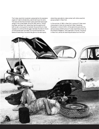The Cuban anarchist movement, persecuted by the repressive organs of Castro's dictatorship, was forced to go into exile. This was not the first time that Cuban anarchists had sought refuge in the United States. Since the 19th century, Tampa, Key West, and New York, where they had the opportunity both to earn a living and to maintain the proximity to Cuba necessary to continue the struggle, had been the sites of choice of those persecuted comrades. During the Machado and Batista dictatorships, the exiles had gone to the same spots,

where they were able to make contact with other anarchist groups present in New York.

In the summer of 1961 in New York, a group of Cuban anarchists exiled in that city formed the Cuban Libertarian Movement in Exile (CLME). At the same time and with the same purpose, another group of Cuban anarchists, known as the General Delegation, was organized in Florida. The group in New York, almost all anarchosyndicalists from the Food

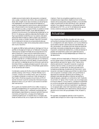notable reconocimiento dentro del anarquismo norteamericano, a pesar, o quizás por eso mismo, de su procedencia trotskista. Sam Dolgoff, era en esos momentos una de las figuras más respetadas en los medios ácratas de Norteamérica y poseía una larga trayectoria revolucionaria, además de ejercer gran influencia dentro de la llamada izquierda norteamericana. Siempre a su lado y a veces al frente, no podemos olvidar a su compañera Esther Dolgoff, mujer dedicada desde su juventud a la lucha social y a la libertad del proletariado en los EE.UU. En este grupo, además colaboraba Abe Bluestein, otra figura que también se identificó con los cubanos. Este sector anarquista había fundado en 1954 la citada Liga Libertaria, y tenía como vocero un boletín llamado *Views and Comments*. Sin la colaboración de todos los componentes de esta asociación anarquista, la labor de los anarquistas cubanos hubiera sido mucho más difícil.

En agosto de 1960 se había publicado en Santiago de Chile un panfleto de 16 páginas firmado por la Federación Anarquista Internacional, titulado *Manifiesto de los anarquistas de Chile sobre la Revolución Cubana ante los imperialismos yanqui y ruso*, donde denunciaba el castrismo por primera vez a nivel hemisférico y que coincidía plenamente con el documento que se había originado en La Habana publicado por los libertarios. Este trabajo, que es poco conocido debido a la pobre distribución que tuvo y al sabotaje de que fue víctima por parte de los leninistas chilenos, ya dejaba aclarada la posición de los anarquistas con respecto al castrismo. El Manifiesto quedó enterrado en las sombras del misterio.

Condenados a penas de 20 años se encontraban presos en las cárceles cubanas, Isidro Moscú y Plácido Méndez. Suria Linsuaín, cumplía una condena menor, pero su hermano Luis estaba condenado a muerte por tratar de ejecutar a Raúl Castro. Mientras se ayuda a los primeros, el MLCE acordó movilizar la opinión anarquista internacional para salvarle la vida a Luis, por todo lo cual se activó la solidaridad internacional.

Por su parte, los miembros del MLCE en 1962, iniciaron su campaña propagandística con la publicación de un *Boletín de Información Libertaria* (*BIL*), recibiendo la solidaridad más desinteresada y espontánea a su causa por parte de *Views and Comments*, en Nueva York, y el apoyo de la Federación Libertaria Argentina por un acuerdo de su V Congreso celebrado en Buenos Aires, con su órgano de información *Acción*

*Libertaria*. Tanto los compañeros argentinos como los norteamericanos respondieron desde el primer momento al reclamo de los anarquistas cubanos exiliados y nunca les faltó a éstos, durante todos los años difíciles por venir, ese apoyo solidario. Poco después mostrarían su solidaridad l@s compañer@s de la CNT-FAI y un sin fin de federaciones, agrupaciones y colectivos anarquistas alrededor del mundo.

## Actualidad Actualidad

Hoy, al igual que hace 40 años, el pueblo de Cuba, vive en carne propia la amenaza intervensionista yanqui y, sufre el terror y el despotismo del castro-fascismo, con la única diferencia que el sistema represor castrista ahora es más sofisticado y es aún más opresivo. Las cárceles continúan llenas de opositores pacífic@s y de jóvenes contestari@s que se rebelan contra la imposición constante del totalitarismo y la falta de libertad. El paredón de fusilamiento vuelve a ser la alternativa de los luchadores sociales o de l@s desesperad@s que intentan huir del absolutismo.

Y todavía, de forma inexplicable, la "Revolución Cubana", que es como gustan llamar a la dictadura castrista las "izquierdas", sigue teniendo ese hipócrita "apoyo crítico". Vemos como amplios sectores de la "izquierda" se oponen a la pena de muerte, al servicio militar, a la censura en los medios de comunicación, a la fabricación de casos judiciales contra luchadores sociales bajo el eufemismo de "terrorismo", como se oponen a las leyes mordazas que prohíben los radios libres, como se oponen a la energía nuclear, como se enfrentan al espionaje de los aparatos represivos de sus Estados y, sin embargo, todos esos atropellos e infamias, las justifican y, hasta las apoyan y aplauden, en nombre de un anti-imperialismo primario. El "apoyo crítico" ha sido y es una consigna para el consumo exterior y nunca interior, y se basa principalmente en una forma de pensar estrictamente totalitaria o maniqueísta: "con la revolución y contra el imperialismo", aquell@s que no nos apoyen están a favor del imperialismo yanqui y, por lo tanto, son considerados como reaccionarios. Este tipo de pensamiento es el mismo del que planteaban Hitler, Mussolini y Franco.

Por supuesto, la propaganda castrista a nivel mundial ha repetido esta consigna con todo el vigor de sus dólares y sus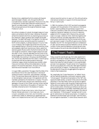Workers Union, established the first contacts with Spanish anarchists based in Boston, who, through the efforts of Comrade Gómez, had been organized in the Aurora Club. Also in that period, contacts were made with another group of Spanish comrades located in New York, guided by J. González Malo and grouped around the longtime libertarian organ, *Proletarian Culture*.

But without a shadow of a doubt, the largest measure of cooperation and solidarity that the Cuban Libertarian Movement at that time received came from an anarchist group known as the Libertarian League, guided by Sam Dolgoff and Russell Blackweil. The latter had fought in the Spanish Civil War and enjoyed some renown among the anarchist movement in North America despite, or perhaps because of, his prior history as a Trotskyist. Sam Dolgoff was at that time one of the most respected figures in the North American anarchist milieu and possessed a significant revolutionary history, aside from exercising great influence within the North American left. We can't forget his companion, Esther Dolgoff, always at his side and often in front, a woman dedicated since her youth to the social struggle and to the liberation of the working class in the United States. Also working in this group was Abe Bluestein who, like the rest, identified with the Cubans. It was this group of anarchists that had founded the above mentioned Libertarian League, whose mouthpiece was a bulletin called *Views and Comments*. Without the collaboration of all the people in this anarchist association, the work of the Cuban anarchists would have been much more difficult.

In August 1960, a pamphlet of 16 pages, titled *Manifesto of the Anarchists of Chile on the Cuban Revolution in the Face of Yankee and Russian Imperialism*, was published in Santiago, Chile. This document denounced Castroism for the first time on the hemispheric level and was in full agreement with the manifesto published by the libertarians in Havana. This work, which is not well known owing to poor distribution and to sabotage on the part of the Chilean Leninists, further clarified the position of anarchists on the question of Castroism. The manifesto remained buried in the shadows of mystery.

Condemned to 20 year prison terms, Isidro Moscú and Plácido Méndez were stuck in the Cuban jails. Suria Linsuaín completed a minor term, but his brother, Luis, was condemned to death for attempting to assassinate Raúl Castro. As it helped the former, the CLME mobilized inter-

national anarchist opinion to save Luis' life, while activating international solidarity in support of all the anarchists suffering in Castro's jails.

In 1962, the members of the CLME launched its propaganda campaign with the publication of the *Libertarian Information Bulletin*, receiving selfless and spontaneous support from *Views and Comments* in New York and the endorsement of the Argentine Libertarian Federation by virtue of a resolution passed at its Vth Congress, held in Buenos Aires, and publicized in its organ, *Libertarian Action*. Both the Argentine and the North American comrades responded to the call of the exiled Cuban anarchists from the first moment and this support was never to waver in the difficult years to come. Shortly thereafter, the CNT-FAI (the Spanish National Confederation of Labor and the Iberian Anarchist Federation) and an infinite number of other anarchist federations, groupings and collectives throughout the world also demonstrated their solidarity.

## The Present Reality

Today, as was the case 40 years ago, the Cuban people live in the face of the threat of Yankee intervention, while suffering the terror and despotism of Castro-Fascism, with the only difference that today the Castroist system is more sophisticated and even more oppressive. The jails remain full of oppositionists and young people who continually rebel against totalitarianism and the lack of freedom. The executioner's wall is still the alternative for those who struggle against the regime or intend to flee its absolutism.

Yet, inexplicably, the "Cuban Revolution," as "leftists" like to call the Castroist dictatorship, continues to receive so-called "critical support." We see how broad sectors of the "left" who oppose the death penalty, universal military service (the draft), censorship in the mass media, frame-ups carried out against fighters for social justice under the guise of fighting terrorism, as they denounce gag laws that prohibit free radio stations, as well as nuclear power, while facing surveillance carried out by the repressive apparatus of the States, nevertheless justify, and even applaud and support, these same outrages in the name of anti-imperialism. "Critical support" has been and still is a slogan for external but not internal consumption. It is based on a totalitarian and Manichean type of thought: "with the revolution and against imperialism," in other words, those who don't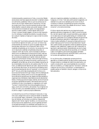invitaciones gratis a vacacionar en Cuba, y nunca han faltado amanuenses y escribas capaces de oscurecer la realidad cubana con sermones y parábolas. Todo lo cual nos conduce por el camino de una visión objetiva de la Cuba de hoy. Una isla arruinada moral, física y económicamente donde sus habitantes desafían cualquier peligro para poder escapar y donde irónicamente los funerales son gratis. Una larga satrapía oprime a nuestro pueblo y cuando alguien denuncia el crimen, lo acusan de estar pagado o al servicio del imperialismo. Sin embargo, la realidad es evidente y la puede comprobar cualquier viajer@ curios@ que no vaya a corear los cantos de sirena.

En el seno del "movimiento anarquista internacional", las posturas frente al régimen de Castro, ya no son (al menos mayoritariamente) las mismas con que en el pasado algunos sectores ácratas, silenciaron los crímenes de Castro contra nuestr@s compañer@s, por el contrario, hoy se escucha a viva voz la repulsa de nuestr@s compañer@s anarquistas, en cualquier confín del mundo, contra la dictadura castrista. Y vemos como los defensores a ultranza de la tiranía, cada vez son menos en el movimiento real de l@s explotad@s, menos en los núcleos de resistencia al Capital, menos en las barricadas de la confrontación directa, menos entre l@s hombres y mujeres que luchan de manera horizontal y autónoma por la autogestión de las fábricas, de las comunidades originarias, de las universidades, de los barrios, de nuestras vidas. Por el contrario, los defensores del régimen de Castro, l@s encontramos en las filas del reformismo, en las filas de la socialdemocracia, entre los partidari@s del voto de "izquierda", en la militancia del PT de Lula, entre l@s simpatizantes de Kirchner, en la burocracia bolivariana de Hugo Chávez, entre los ideólogos de la democracia-cristiana, entre un sin fin de organizaciones burocráticas de izquierda que van desde sindicatos parásitos y organizaciones clientelares, hasta federaciones de estudiantes fósiles y frentes populares de siglas. Además, de encontrarse en los grupos capitalistas europeos y latinoamericanos que hoy invierten en la Isla y nos preparan un capitalismo con rostro "humano", mientras frenan las luchas autogestionarias a lo largo y ancho del continente y del planeta. Hoy el régimen de Cuba, con todo y sus cacareados avances, no es el ejemplo ni el camino a seguir ni para sus propios defensores.

La Cuba de hoy es una finca inmensa en manos de un mayoral cruel y sanguinario que no vacila en escalar la represión con tal de poder seguir mandando. Cuba carece de cualquier tipo de libertad, ya individual, ya colectiva. Después del desplome del "ancien regime" soviético, la crisis económica es de proporciones catastróficas y de la frugalidad alimenticia se pasa diariamente a la necesidad más paupérrima. La clase obrera ha perdido todos sus derechos y todos los sindicatos son organismos estatales, la protesta es un delito y la huelga es un crimen. Todo esto podrá parecer exagerado y en realidad lo es, pero es la realidad que se vive en la Isla. E invitamos a cualquier compañer@ que quiera comprobar estos hechos a que visite Cuba, alejado de los tours "revolucionarios" y los cantos de sirenas.

El último reducto del castrismo es una maquinaria propagandística eficiente e imaginativa. En 1992, la vimos funcionando a raíz del viaje de Castro a la península ibérica, para celebrar con el resto de los corruptos gobernantes, el V Centenario del genocidio, justificando con su presencia 500 años de ignominias en este continente por parte de la "madre patria" y otras no menos crueles madrastras. En esa oportunidad pudimos comprobar hasta que punto funciona la hipocresía de las "izquierdas" cuando al tener que repudiar a todos los gobiernos que se prestaron a esa "celebración", pasaron por alto o silenciaron la aportación castrista al evento. Recientemente, se volvió a hacer presente esta usual hipocresía de las izquierdas, con la visita de Castro a la Argentina, para la toma de posesión de Nestor Kirchner, en abierta promoción del MERCOSUR, como el rostro humano del capitalismo de mercado.

En los últimos años, el desempleo aumenta de forma geométrica, el sistema gratuito de salud pública carece de tecnología moderna y la escasez de medicina es alarmante, y en cuanto a la educación, que va acompañada de una complicidad con el sistema y un trabajo agrícola "voluntario", carece de cualquier tipo de crítica y humanismo. Los estudiantes no pueden pensar en libertad ni discutir, escoger o criticar el sistema educativo.